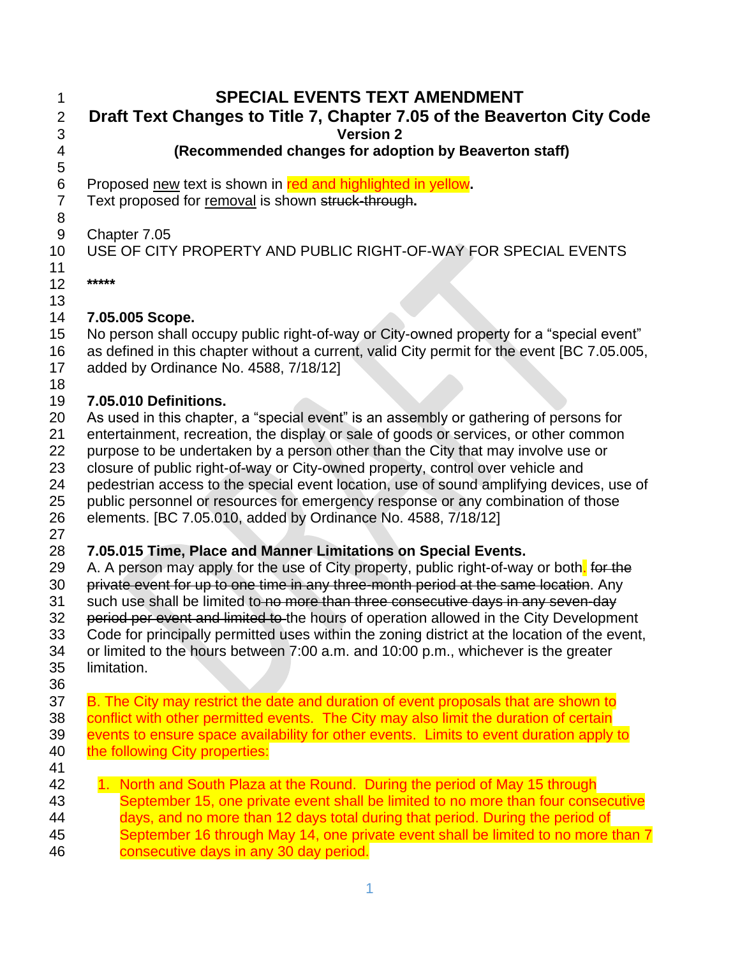| 1<br>$\overline{2}$                                            | <b>SPECIAL EVENTS TEXT AMENDMENT</b><br>Draft Text Changes to Title 7, Chapter 7.05 of the Beaverton City Code                                                                                                                                                                                                                                                                                                                                                                                                                                                                                                                                                                                                                |
|----------------------------------------------------------------|-------------------------------------------------------------------------------------------------------------------------------------------------------------------------------------------------------------------------------------------------------------------------------------------------------------------------------------------------------------------------------------------------------------------------------------------------------------------------------------------------------------------------------------------------------------------------------------------------------------------------------------------------------------------------------------------------------------------------------|
| 3<br>4                                                         | <b>Version 2</b><br>(Recommended changes for adoption by Beaverton staff)                                                                                                                                                                                                                                                                                                                                                                                                                                                                                                                                                                                                                                                     |
| 5<br>$\,6$                                                     | Proposed new text is shown in red and highlighted in yellow.                                                                                                                                                                                                                                                                                                                                                                                                                                                                                                                                                                                                                                                                  |
| $\overline{7}$<br>8                                            | Text proposed for removal is shown struck-through.                                                                                                                                                                                                                                                                                                                                                                                                                                                                                                                                                                                                                                                                            |
| $\boldsymbol{9}$<br>10                                         | Chapter 7.05<br>USE OF CITY PROPERTY AND PUBLIC RIGHT-OF-WAY FOR SPECIAL EVENTS                                                                                                                                                                                                                                                                                                                                                                                                                                                                                                                                                                                                                                               |
| 11<br>12<br>13                                                 | *****                                                                                                                                                                                                                                                                                                                                                                                                                                                                                                                                                                                                                                                                                                                         |
| 14                                                             | 7.05.005 Scope.                                                                                                                                                                                                                                                                                                                                                                                                                                                                                                                                                                                                                                                                                                               |
| 15<br>16<br>17<br>18                                           | No person shall occupy public right-of-way or City-owned property for a "special event"<br>as defined in this chapter without a current, valid City permit for the event [BC 7.05.005,<br>added by Ordinance No. 4588, 7/18/12]                                                                                                                                                                                                                                                                                                                                                                                                                                                                                               |
| 19                                                             | 7.05.010 Definitions.                                                                                                                                                                                                                                                                                                                                                                                                                                                                                                                                                                                                                                                                                                         |
| 20<br>21<br>22<br>23<br>24<br>25<br>26                         | As used in this chapter, a "special event" is an assembly or gathering of persons for<br>entertainment, recreation, the display or sale of goods or services, or other common<br>purpose to be undertaken by a person other than the City that may involve use or<br>closure of public right-of-way or City-owned property, control over vehicle and<br>pedestrian access to the special event location, use of sound amplifying devices, use of<br>public personnel or resources for emergency response or any combination of those<br>elements. [BC 7.05.010, added by Ordinance No. 4588, 7/18/12]                                                                                                                         |
| 27<br>28<br>29<br>30<br>31<br>32<br>33<br>34<br>35<br>36<br>37 | 7.05.015 Time, Place and Manner Limitations on Special Events.<br>A. A person may apply for the use of City property, public right-of-way or both. for the<br>private event for up to one time in any three-month period at the same location. Any<br>such use shall be limited to no more than three consecutive days in any seven-day<br>period per event and limited to the hours of operation allowed in the City Development<br>Code for principally permitted uses within the zoning district at the location of the event,<br>or limited to the hours between 7:00 a.m. and 10:00 p.m., whichever is the greater<br>limitation.<br>B. The City may restrict the date and duration of event proposals that are shown to |
| 38<br>39<br>40<br>41                                           | conflict with other permitted events. The City may also limit the duration of certain<br>events to ensure space availability for other events. Limits to event duration apply to<br>the following City properties:                                                                                                                                                                                                                                                                                                                                                                                                                                                                                                            |
| 42<br>43<br>44<br>45                                           | 1. North and South Plaza at the Round. During the period of May 15 through<br>September 15, one private event shall be limited to no more than four consecutive<br>days, and no more than 12 days total during that period. During the period of<br>September 16 through May 14, one private event shall be limited to no more than 7                                                                                                                                                                                                                                                                                                                                                                                         |

**consecutive days in any 30 day period.**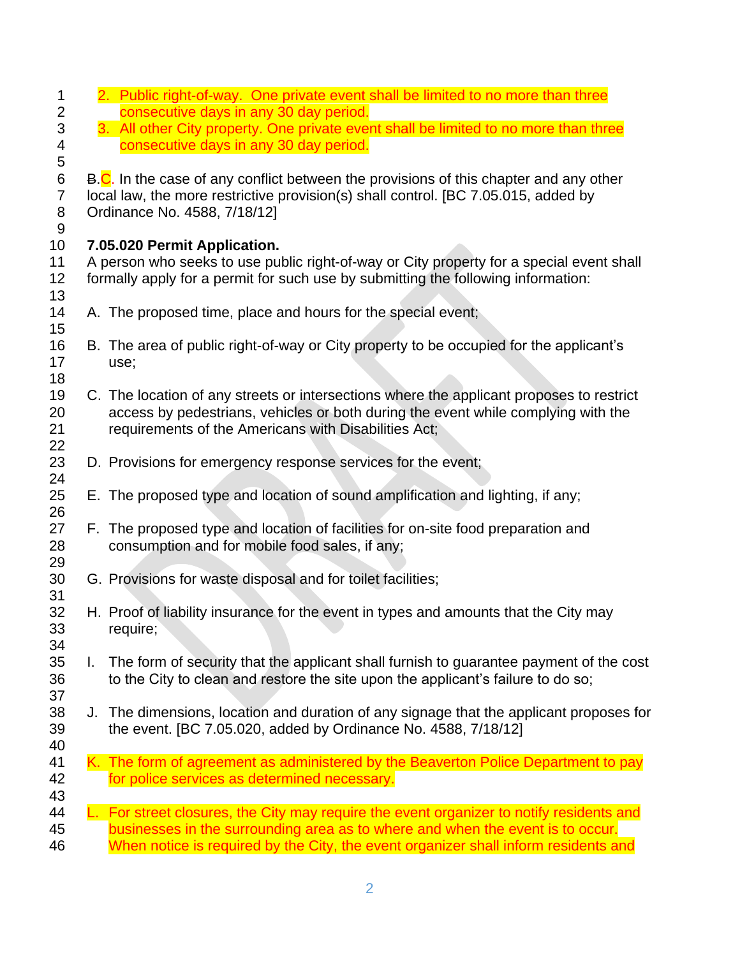| 1<br>$\overline{c}$                                   | 2. Public right-of-way. One private event shall be limited to no more than three<br>consecutive days in any 30 day period.                                                                                                                                        |  |
|-------------------------------------------------------|-------------------------------------------------------------------------------------------------------------------------------------------------------------------------------------------------------------------------------------------------------------------|--|
| $\ensuremath{\mathsf{3}}$<br>4                        | 3. All other City property. One private event shall be limited to no more than three<br>consecutive days in any 30 day period.                                                                                                                                    |  |
| 5<br>$\,6$<br>$\overline{7}$<br>8<br>$\boldsymbol{9}$ | B.C. In the case of any conflict between the provisions of this chapter and any other<br>local law, the more restrictive provision(s) shall control. [BC 7.05.015, added by<br>Ordinance No. 4588, 7/18/12]                                                       |  |
| 10<br>11<br>12<br>13                                  | 7.05.020 Permit Application.<br>A person who seeks to use public right-of-way or City property for a special event shall<br>formally apply for a permit for such use by submitting the following information:                                                     |  |
| 14                                                    | A. The proposed time, place and hours for the special event;                                                                                                                                                                                                      |  |
| 15<br>16<br>17<br>18                                  | B. The area of public right-of-way or City property to be occupied for the applicant's<br>use;                                                                                                                                                                    |  |
| 19<br>20<br>21<br>22                                  | C. The location of any streets or intersections where the applicant proposes to restrict<br>access by pedestrians, vehicles or both during the event while complying with the<br>requirements of the Americans with Disabilities Act;                             |  |
| 23<br>24                                              | D. Provisions for emergency response services for the event;                                                                                                                                                                                                      |  |
| 25<br>26                                              | E. The proposed type and location of sound amplification and lighting, if any;                                                                                                                                                                                    |  |
| 27<br>28<br>29                                        | F. The proposed type and location of facilities for on-site food preparation and<br>consumption and for mobile food sales, if any;                                                                                                                                |  |
| 30<br>31                                              | G. Provisions for waste disposal and for toilet facilities;                                                                                                                                                                                                       |  |
| 32<br>33<br>34                                        | H. Proof of liability insurance for the event in types and amounts that the City may<br>require;                                                                                                                                                                  |  |
| 35<br>36<br>37                                        | The form of security that the applicant shall furnish to guarantee payment of the cost<br>L.<br>to the City to clean and restore the site upon the applicant's failure to do so;                                                                                  |  |
| 38<br>39<br>40                                        | J. The dimensions, location and duration of any signage that the applicant proposes for<br>the event. [BC 7.05.020, added by Ordinance No. 4588, 7/18/12]                                                                                                         |  |
| 41<br>42<br>43                                        | K. The form of agreement as administered by the Beaverton Police Department to pay<br>for police services as determined necessary.                                                                                                                                |  |
| 44<br>45<br>46                                        | L. For street closures, the City may require the event organizer to notify residents and<br>businesses in the surrounding area as to where and when the event is to occur.<br>When notice is required by the City, the event organizer shall inform residents and |  |
|                                                       |                                                                                                                                                                                                                                                                   |  |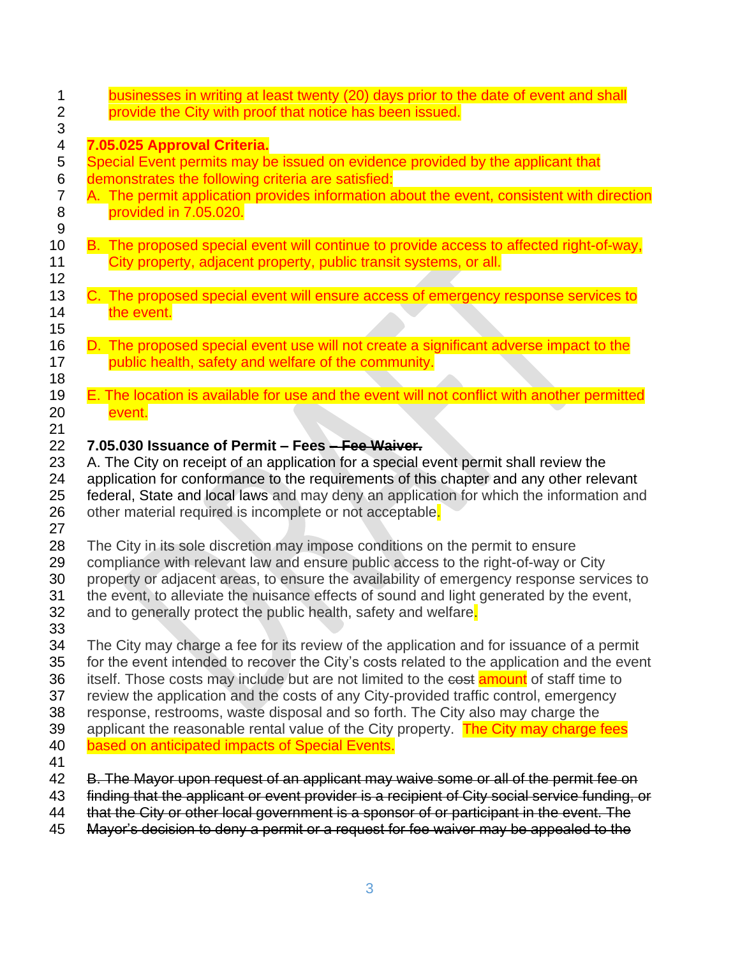| 1<br>$\overline{2}$ | businesses in writing at least twenty (20) days prior to the date of event and shall<br>provide the City with proof that notice has been issued.                                           |
|---------------------|--------------------------------------------------------------------------------------------------------------------------------------------------------------------------------------------|
| 3                   |                                                                                                                                                                                            |
| 4<br>5              | 7.05.025 Approval Criteria.<br>Special Event permits may be issued on evidence provided by the applicant that                                                                              |
| $\,6$               | demonstrates the following criteria are satisfied:                                                                                                                                         |
| $\overline{7}$      | A. The permit application provides information about the event, consistent with direction                                                                                                  |
| $\bf 8$<br>$9\,$    | provided in 7.05.020.                                                                                                                                                                      |
| 10                  | B. The proposed special event will continue to provide access to affected right-of-way,                                                                                                    |
| 11<br>12            | City property, adjacent property, public transit systems, or all.                                                                                                                          |
| 13                  | C. The proposed special event will ensure access of emergency response services to                                                                                                         |
| 14                  | the event.                                                                                                                                                                                 |
| 15<br>16            | D. The proposed special event use will not create a significant adverse impact to the                                                                                                      |
| 17                  | public health, safety and welfare of the community.                                                                                                                                        |
| 18                  |                                                                                                                                                                                            |
| 19<br>20            | E. The location is available for use and the event will not conflict with another permitted<br>event.                                                                                      |
| 21                  |                                                                                                                                                                                            |
| 22                  | 7.05.030 Issuance of Permit – Fees – Fee Waiver.                                                                                                                                           |
| 23                  | A. The City on receipt of an application for a special event permit shall review the                                                                                                       |
| 24<br>25            | application for conformance to the requirements of this chapter and any other relevant<br>federal, State and local laws and may deny an application for which the information and          |
| 26<br>27            | other material required is incomplete or not acceptable.                                                                                                                                   |
| 28                  | The City in its sole discretion may impose conditions on the permit to ensure                                                                                                              |
| 29                  | compliance with relevant law and ensure public access to the right-of-way or City                                                                                                          |
| 30<br>31            | property or adjacent areas, to ensure the availability of emergency response services to<br>the event, to alleviate the nuisance effects of sound and light generated by the event,        |
| 32                  | and to generally protect the public health, safety and welfare.                                                                                                                            |
| 33                  |                                                                                                                                                                                            |
| 34<br>35            | The City may charge a fee for its review of the application and for issuance of a permit                                                                                                   |
| 36                  | for the event intended to recover the City's costs related to the application and the event<br>itself. Those costs may include but are not limited to the cost amount of staff time to     |
| 37                  | review the application and the costs of any City-provided traffic control, emergency                                                                                                       |
| 38                  | response, restrooms, waste disposal and so forth. The City also may charge the                                                                                                             |
| 39<br>40            | applicant the reasonable rental value of the City property. The City may charge fees<br>based on anticipated impacts of Special Events.                                                    |
| 41                  |                                                                                                                                                                                            |
| 42                  | B. The Mayor upon request of an applicant may waive some or all of the permit fee on                                                                                                       |
| 43<br>44            | finding that the applicant or event provider is a recipient of City social service funding, or<br>that the City or other local government is a sponsor of or participant in the event. The |
| 45                  | Mayor's decision to deny a permit or a request for fee waiver may be appealed to the                                                                                                       |